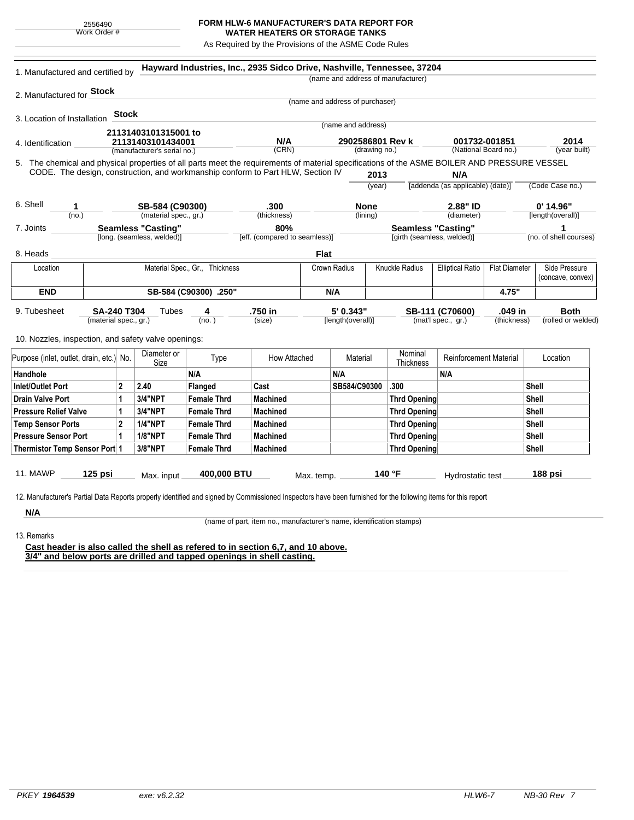## **FORM HLW-6 MANUFACTURER'S DATA REPORT FOR WATER HEATERS OR STORAGE TANKS**

As Required by the Provisions of the ASME Code Rules

| 1. Manufactured and certified by                                                                                                                              |                           |                             |                    | Hayward Industries, Inc., 2935 Sidco Drive, Nashville, Tennessee, 37204 |                                 |                                   |                                    |                                                                  |                   |                        |
|---------------------------------------------------------------------------------------------------------------------------------------------------------------|---------------------------|-----------------------------|--------------------|-------------------------------------------------------------------------|---------------------------------|-----------------------------------|------------------------------------|------------------------------------------------------------------|-------------------|------------------------|
|                                                                                                                                                               |                           |                             |                    |                                                                         |                                 |                                   | (name and address of manufacturer) |                                                                  |                   |                        |
| 2. Manufactured for <b>Stock</b>                                                                                                                              |                           |                             |                    |                                                                         |                                 |                                   |                                    |                                                                  |                   |                        |
|                                                                                                                                                               |                           |                             |                    |                                                                         | (name and address of purchaser) |                                   |                                    |                                                                  |                   |                        |
| 3. Location of Installation                                                                                                                                   | <b>Stock</b>              |                             |                    |                                                                         |                                 |                                   |                                    |                                                                  |                   |                        |
|                                                                                                                                                               |                           | 21131403101315001 to        |                    |                                                                         |                                 | (name and address)                |                                    |                                                                  |                   |                        |
| 4. Identification                                                                                                                                             |                           | 21131403101434001           |                    | N/A                                                                     |                                 | 2902586801 Rev k<br>(drawing no.) |                                    | 001732-001851<br>(National Board no.)                            |                   | 2014                   |
|                                                                                                                                                               |                           | (manufacturer's serial no.) |                    | (CRN)                                                                   |                                 |                                   |                                    |                                                                  |                   | (year built)           |
| 5. The chemical and physical properties of all parts meet the requirements of material specifications of the ASME BOILER AND PRESSURE VESSEL                  |                           |                             |                    |                                                                         |                                 |                                   |                                    |                                                                  |                   |                        |
| CODE. The design, construction, and workmanship conform to Part HLW, Section IV                                                                               |                           |                             |                    |                                                                         |                                 | 2013<br>(year)                    |                                    | N/A<br>[addenda (as applicable) (date)]                          |                   | (Code Case no.)        |
|                                                                                                                                                               |                           |                             |                    |                                                                         |                                 |                                   |                                    |                                                                  |                   |                        |
| 6. Shell<br>1                                                                                                                                                 | SB-584 (C90300)           |                             |                    | .300                                                                    | <b>None</b>                     |                                   |                                    | 2.88" ID                                                         |                   | $0'$ 14.96"            |
| (no.)                                                                                                                                                         |                           | (material spec., gr.)       |                    | (thickness)                                                             |                                 | (lining)                          |                                    | (diameter)                                                       |                   | [length(overall)]      |
| 7. Joints                                                                                                                                                     | <b>Seamless "Casting"</b> |                             |                    | 80%                                                                     |                                 |                                   |                                    | <b>Seamless "Casting"</b>                                        |                   | 1                      |
|                                                                                                                                                               |                           | [long. (seamless, welded)]  |                    | [eff. (compared to seamless)]                                           |                                 |                                   | [girth (seamless, welded)]         |                                                                  |                   | (no. of shell courses) |
| 8. Heads                                                                                                                                                      |                           |                             |                    |                                                                         | Flat                            |                                   |                                    |                                                                  |                   |                        |
| Material Spec., Gr., Thickness<br>Location                                                                                                                    |                           |                             |                    | <b>Crown Radius</b>                                                     |                                 | <b>Knuckle Radius</b>             |                                    | Side Pressure<br><b>Elliptical Ratio</b><br><b>Flat Diameter</b> |                   |                        |
|                                                                                                                                                               |                           |                             |                    |                                                                         |                                 |                                   |                                    |                                                                  | (concave, convex) |                        |
| <b>END</b>                                                                                                                                                    | SB-584 (C90300) .250"     |                             |                    |                                                                         | N/A                             |                                   |                                    |                                                                  | 4.75"             |                        |
| 9. Tubesheet<br><b>SA-240 T304</b><br>(material spec., gr.)                                                                                                   |                           | Tubes<br>4                  |                    | .750 in                                                                 |                                 |                                   | 5' 0.343"<br>SB-111 (C70600)       |                                                                  | .049 in           | <b>Both</b>            |
|                                                                                                                                                               |                           |                             | (no.)              | (size)                                                                  | [length(overall)]               |                                   |                                    | (mat'l spec., gr.)<br>(thickness)                                |                   | (rolled or welded)     |
| 10. Nozzles, inspection, and safety valve openings:                                                                                                           |                           |                             |                    |                                                                         |                                 |                                   |                                    |                                                                  |                   |                        |
|                                                                                                                                                               |                           |                             |                    |                                                                         |                                 |                                   |                                    |                                                                  |                   |                        |
| Purpose (inlet, outlet, drain, etc.) No.                                                                                                                      |                           | Diameter or<br>Size         | Type               | How Attached                                                            |                                 | Material                          | Nominal<br>Thickness               | Reinforcement Material                                           |                   | Location               |
| Handhole                                                                                                                                                      |                           |                             | N/A                |                                                                         | N/A                             |                                   |                                    | N/A                                                              |                   |                        |
| <b>Inlet/Outlet Port</b>                                                                                                                                      | $\overline{2}$            | 2.40                        | Flanged            | Cast                                                                    |                                 | SB584/C90300                      | .300                               |                                                                  |                   | <b>Shell</b>           |
| <b>Drain Valve Port</b>                                                                                                                                       | 1                         | <b>3/4"NPT</b>              | <b>Female Thrd</b> | Machined                                                                |                                 |                                   | <b>Thrd Opening</b>                |                                                                  |                   | Shell                  |
| <b>Pressure Relief Valve</b>                                                                                                                                  | 1                         | <b>3/4"NPT</b>              | <b>Female Thrd</b> | Machined                                                                |                                 |                                   | <b>Thrd Opening</b>                |                                                                  |                   | Shell                  |
| <b>Temp Sensor Ports</b>                                                                                                                                      | $\overline{2}$            | <b>1/4"NPT</b>              | <b>Female Thrd</b> | Machined                                                                |                                 |                                   | <b>Thrd Opening</b>                |                                                                  |                   | Shell                  |
| <b>Pressure Sensor Port</b>                                                                                                                                   | $\mathbf{1}$              | <b>1/8"NPT</b>              | <b>Female Thrd</b> | Machined                                                                |                                 |                                   | <b>Thrd Opening</b>                |                                                                  |                   | Shell                  |
| Thermistor Temp Sensor Port 1                                                                                                                                 |                           | 3/8"NPT                     | <b>Female Thrd</b> | Machined                                                                |                                 |                                   | <b>Thrd Opening</b>                |                                                                  |                   | Shell                  |
|                                                                                                                                                               |                           |                             |                    |                                                                         |                                 |                                   |                                    |                                                                  |                   |                        |
| 11. MAWP<br>125 psi                                                                                                                                           | 400,000 BTU<br>Max. input |                             |                    | Max. temp.                                                              |                                 | 140 °F<br>Hydrostatic test        |                                    | 188 psi                                                          |                   |                        |
|                                                                                                                                                               |                           |                             |                    |                                                                         |                                 |                                   |                                    |                                                                  |                   |                        |
| 12. Manufacturer's Partial Data Reports properly identified and signed by Commissioned Inspectors have been furnished for the following items for this report |                           |                             |                    |                                                                         |                                 |                                   |                                    |                                                                  |                   |                        |
|                                                                                                                                                               |                           |                             |                    |                                                                         |                                 |                                   |                                    |                                                                  |                   |                        |

(name of part, item no., manufacturer's name, identification stamps)

13. Remarks

**Cast header is also called the shell as refered to in section 6,7, and 10 above. 3/4" and below ports are drilled and tapped openings in shell casting.**